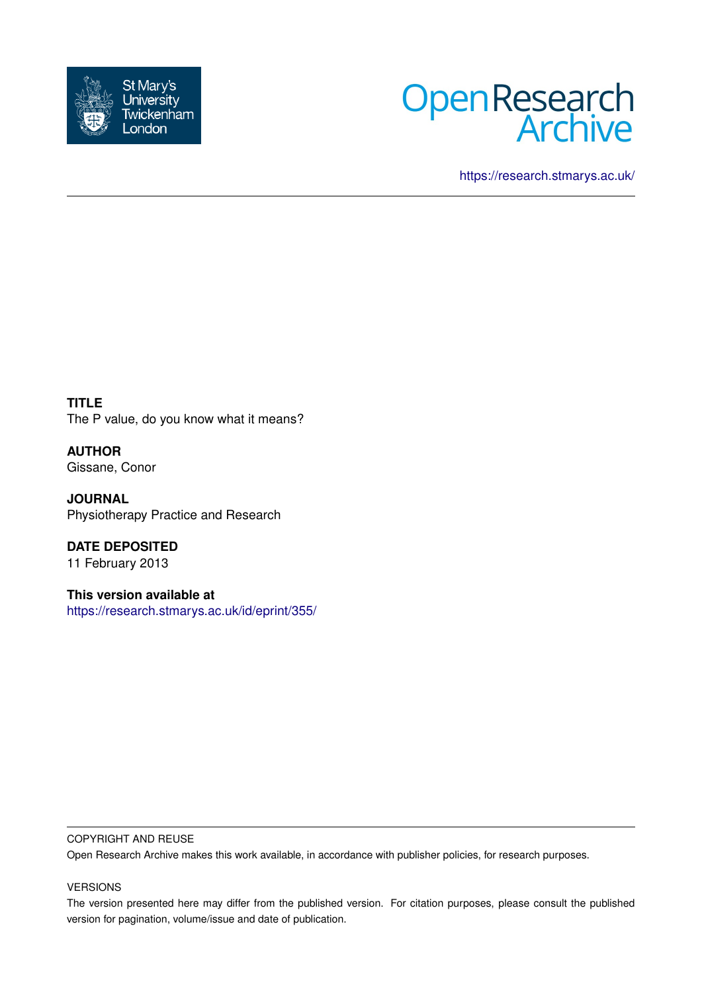



<https://research.stmarys.ac.uk/>

**TITLE** The P value, do you know what it means?

**AUTHOR** Gissane, Conor

**JOURNAL** Physiotherapy Practice and Research

**DATE DEPOSITED** 11 February 2013

**This version available at** <https://research.stmarys.ac.uk/id/eprint/355/>

## COPYRIGHT AND REUSE

Open Research Archive makes this work available, in accordance with publisher policies, for research purposes.

## VERSIONS

The version presented here may differ from the published version. For citation purposes, please consult the published version for pagination, volume/issue and date of publication.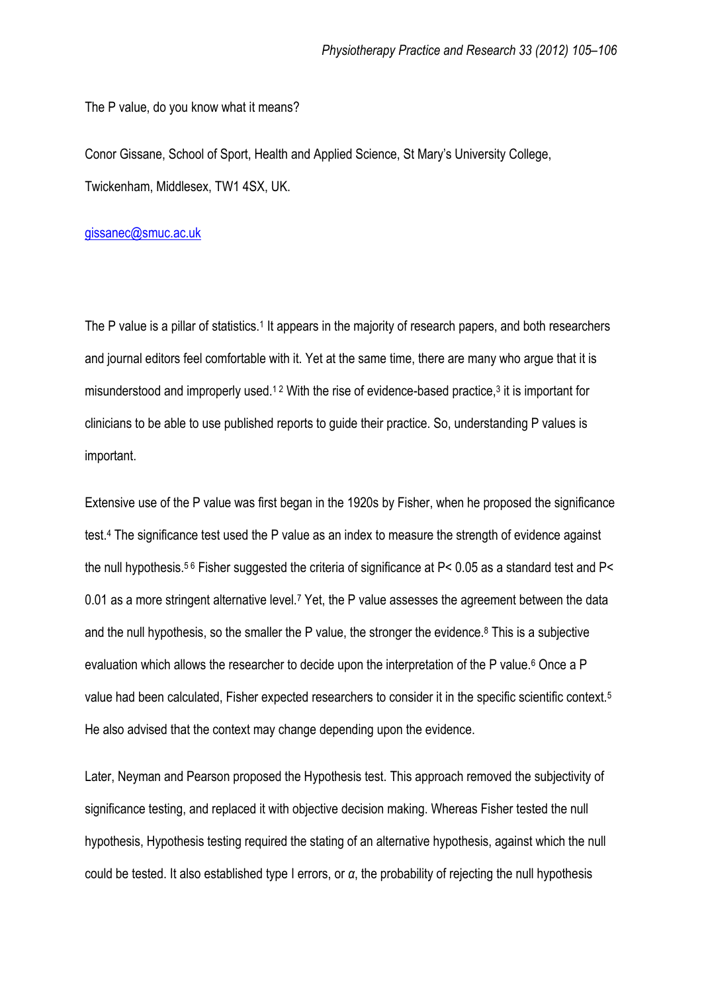The P value, do you know what it means?

Conor Gissane, School of Sport, Health and Applied Science, St Mary's University College, Twickenham, Middlesex, TW1 4SX, UK.

## [gissanec@smuc.ac.uk](mailto:gissanec@smuc.ac.uk)

The P value is a pillar of statistics.<sup>1</sup> It appears in the majority of research papers, and both researchers and journal editors feel comfortable with it. Yet at the same time, there are many who argue that it is misunderstood and improperly used.<sup>12</sup> With the rise of evidence-based practice,<sup>3</sup> it is important for clinicians to be able to use published reports to guide their practice. So, understanding P values is important.

Extensive use of the P value was first began in the 1920s by Fisher, when he proposed the significance test.<sup>4</sup> The significance test used the P value as an index to measure the strength of evidence against the null hypothesis.5 6 Fisher suggested the criteria of significance at P< 0.05 as a standard test and P< 0.01 as a more stringent alternative level.<sup>7</sup> Yet, the P value assesses the agreement between the data and the null hypothesis, so the smaller the P value, the stronger the evidence.<sup>8</sup> This is a subjective evaluation which allows the researcher to decide upon the interpretation of the P value.<sup>6</sup> Once a P value had been calculated, Fisher expected researchers to consider it in the specific scientific context.<sup>5</sup> He also advised that the context may change depending upon the evidence.

Later, Neyman and Pearson proposed the Hypothesis test. This approach removed the subjectivity of significance testing, and replaced it with objective decision making. Whereas Fisher tested the null hypothesis, Hypothesis testing required the stating of an alternative hypothesis, against which the null could be tested. It also established type I errors, or *α*, the probability of rejecting the null hypothesis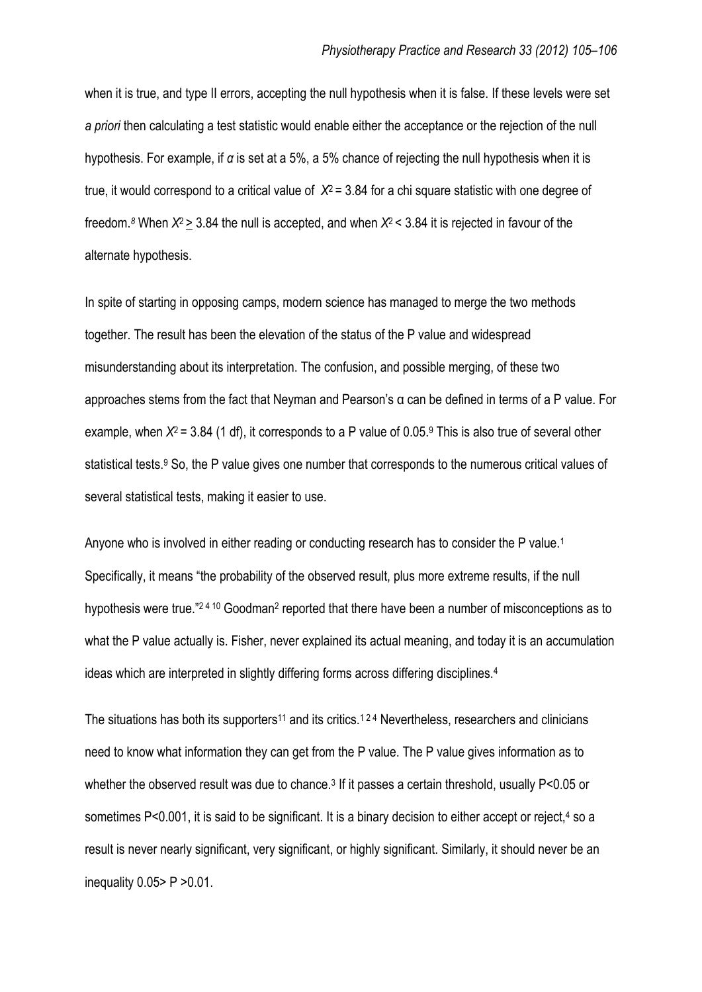when it is true, and type II errors, accepting the null hypothesis when it is false. If these levels were set *a priori* then calculating a test statistic would enable either the acceptance or the rejection of the null hypothesis. For example, if *α* is set at a 5%, a 5% chance of rejecting the null hypothesis when it is true, it would correspond to a critical value of *Χ*<sup>2</sup> = 3.84 for a chi square statistic with one degree of freedom.*<sup>8</sup>* When *Χ*2 > 3.84 the null is accepted, and when *Χ*2 < 3.84 it is rejected in favour of the alternate hypothesis.

In spite of starting in opposing camps, modern science has managed to merge the two methods together. The result has been the elevation of the status of the P value and widespread misunderstanding about its interpretation. The confusion, and possible merging, of these two approaches stems from the fact that Neyman and Pearson's α can be defined in terms of a P value. For example, when *Χ*<sup>2</sup> = 3.84 (1 df), it corresponds to a P value of 0.05.<sup>9</sup> This is also true of several other statistical tests.<sup>9</sup> So, the P value gives one number that corresponds to the numerous critical values of several statistical tests, making it easier to use.

Anyone who is involved in either reading or conducting research has to consider the P value.<sup>1</sup> Specifically, it means "the probability of the observed result, plus more extreme results, if the null hypothesis were true."<sup>2410</sup> Goodman<sup>2</sup> reported that there have been a number of misconceptions as to what the P value actually is. Fisher, never explained its actual meaning, and today it is an accumulation ideas which are interpreted in slightly differing forms across differing disciplines.<sup>4</sup>

The situations has both its supporters<sup>11</sup> and its critics.<sup>124</sup> Nevertheless, researchers and clinicians need to know what information they can get from the P value. The P value gives information as to whether the observed result was due to chance.<sup>3</sup> If it passes a certain threshold, usually P<0.05 or sometimes P<0.001, it is said to be significant. It is a binary decision to either accept or reject,<sup>4</sup> so a result is never nearly significant, very significant, or highly significant. Similarly, it should never be an inequality  $0.05 > P > 0.01$ .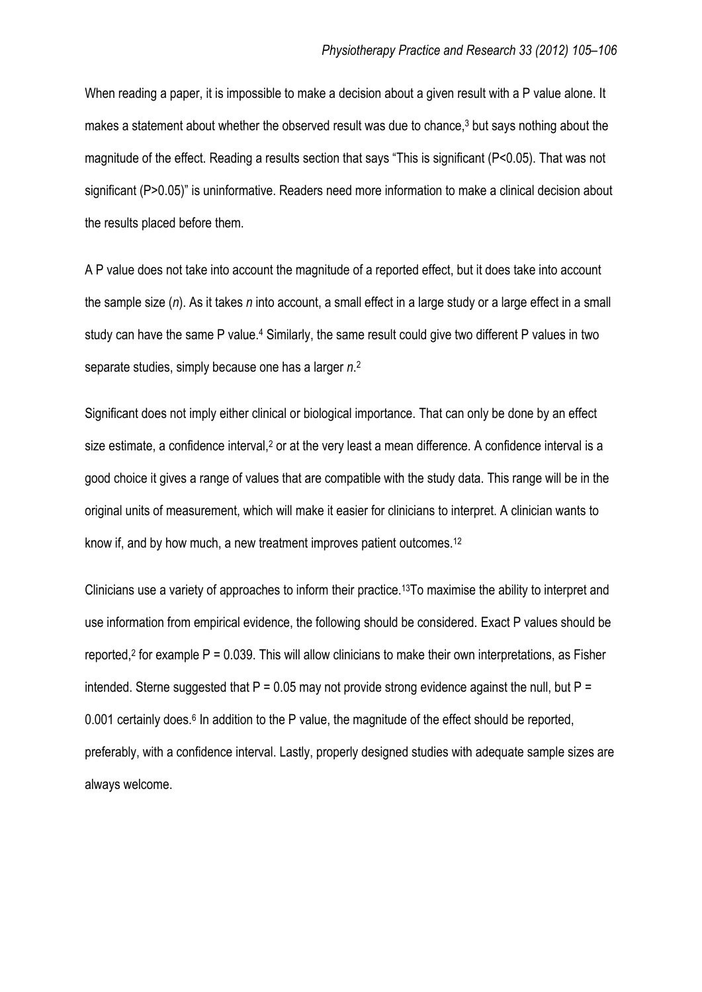When reading a paper, it is impossible to make a decision about a given result with a P value alone. It makes a statement about whether the observed result was due to chance,<sup>3</sup> but says nothing about the magnitude of the effect. Reading a results section that says "This is significant (P<0.05). That was not significant (P>0.05)" is uninformative. Readers need more information to make a clinical decision about the results placed before them.

A P value does not take into account the magnitude of a reported effect, but it does take into account the sample size (*n*). As it takes *n* into account, a small effect in a large study or a large effect in a small study can have the same P value.<sup>4</sup> Similarly, the same result could give two different P values in two separate studies, simply because one has a larger *n*. 2

Significant does not imply either clinical or biological importance. That can only be done by an effect size estimate, a confidence interval,<sup>2</sup> or at the very least a mean difference. A confidence interval is a good choice it gives a range of values that are compatible with the study data. This range will be in the original units of measurement, which will make it easier for clinicians to interpret. A clinician wants to know if, and by how much, a new treatment improves patient outcomes.<sup>12</sup>

Clinicians use a variety of approaches to inform their practice.13To maximise the ability to interpret and use information from empirical evidence, the following should be considered. Exact P values should be reported,<sup>2</sup> for example  $P = 0.039$ . This will allow clinicians to make their own interpretations, as Fisher intended. Sterne suggested that  $P = 0.05$  may not provide strong evidence against the null, but  $P =$ 0.001 certainly does.<sup>6</sup> In addition to the P value, the magnitude of the effect should be reported, preferably, with a confidence interval. Lastly, properly designed studies with adequate sample sizes are always welcome.